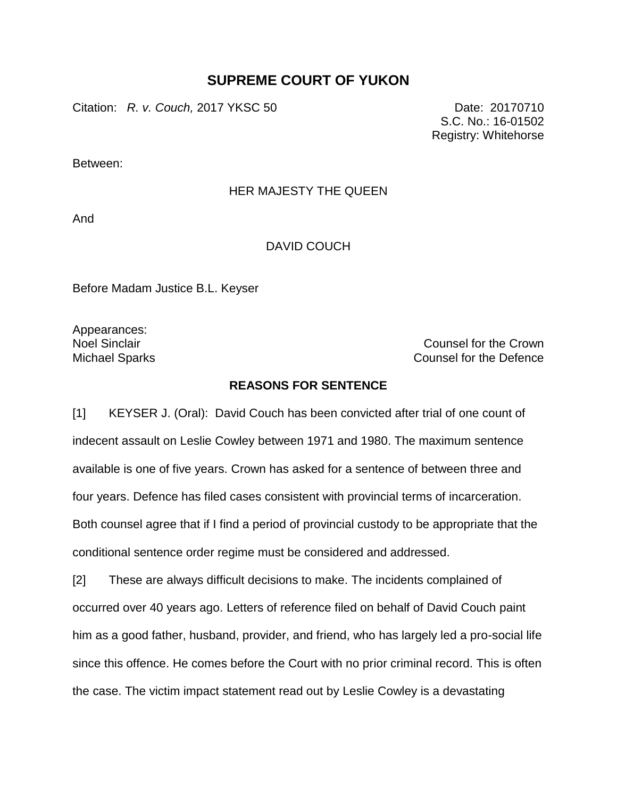## **SUPREME COURT OF YUKON**

Citation: *R. v. Couch,* 2017 YKSC 50 Date: 20170710

S.C. No.: 16-01502 Registry: Whitehorse

Between:

## HER MAJESTY THE QUEEN

And

## DAVID COUCH

Before Madam Justice B.L. Keyser

Appearances:

Noel Sinclair Counsel for the Crown Michael Sparks **Counsel for the Defence** 

## **REASONS FOR SENTENCE**

[1] KEYSER J. (Oral): David Couch has been convicted after trial of one count of indecent assault on Leslie Cowley between 1971 and 1980. The maximum sentence available is one of five years. Crown has asked for a sentence of between three and four years. Defence has filed cases consistent with provincial terms of incarceration. Both counsel agree that if I find a period of provincial custody to be appropriate that the conditional sentence order regime must be considered and addressed.

[2] These are always difficult decisions to make. The incidents complained of occurred over 40 years ago. Letters of reference filed on behalf of David Couch paint him as a good father, husband, provider, and friend, who has largely led a pro-social life since this offence. He comes before the Court with no prior criminal record. This is often the case. The victim impact statement read out by Leslie Cowley is a devastating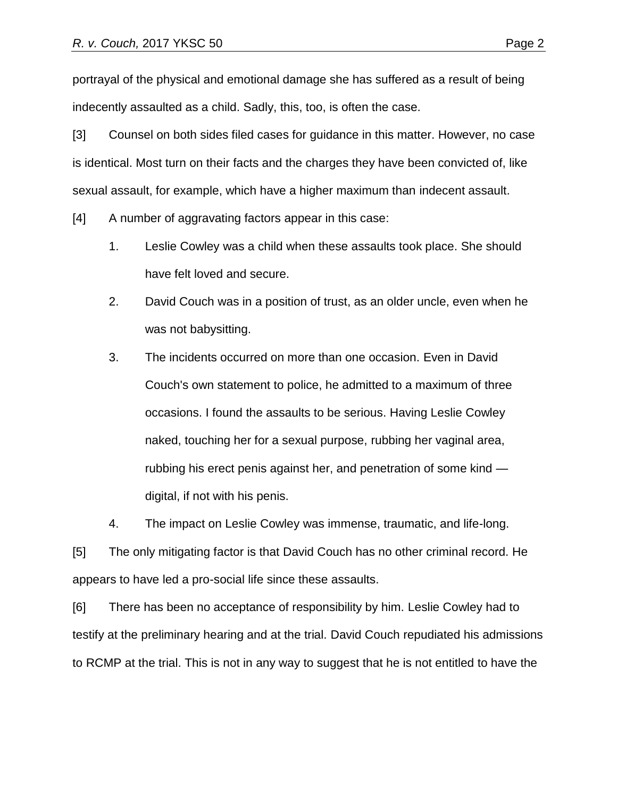portrayal of the physical and emotional damage she has suffered as a result of being indecently assaulted as a child. Sadly, this, too, is often the case.

[3] Counsel on both sides filed cases for guidance in this matter. However, no case is identical. Most turn on their facts and the charges they have been convicted of, like sexual assault, for example, which have a higher maximum than indecent assault.

[4] A number of aggravating factors appear in this case:

- 1. Leslie Cowley was a child when these assaults took place. She should have felt loved and secure.
- 2. David Couch was in a position of trust, as an older uncle, even when he was not babysitting.
- 3. The incidents occurred on more than one occasion. Even in David Couch's own statement to police, he admitted to a maximum of three occasions. I found the assaults to be serious. Having Leslie Cowley naked, touching her for a sexual purpose, rubbing her vaginal area, rubbing his erect penis against her, and penetration of some kind digital, if not with his penis.

4. The impact on Leslie Cowley was immense, traumatic, and life-long.

[5] The only mitigating factor is that David Couch has no other criminal record. He appears to have led a pro-social life since these assaults.

[6] There has been no acceptance of responsibility by him. Leslie Cowley had to testify at the preliminary hearing and at the trial. David Couch repudiated his admissions to RCMP at the trial. This is not in any way to suggest that he is not entitled to have the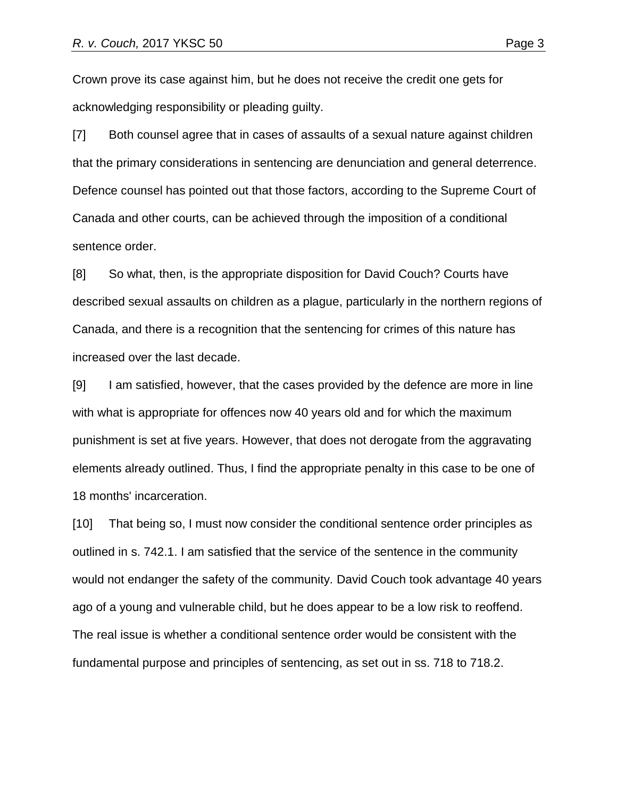Crown prove its case against him, but he does not receive the credit one gets for acknowledging responsibility or pleading guilty.

[7] Both counsel agree that in cases of assaults of a sexual nature against children that the primary considerations in sentencing are denunciation and general deterrence. Defence counsel has pointed out that those factors, according to the Supreme Court of Canada and other courts, can be achieved through the imposition of a conditional sentence order.

[8] So what, then, is the appropriate disposition for David Couch? Courts have described sexual assaults on children as a plague, particularly in the northern regions of Canada, and there is a recognition that the sentencing for crimes of this nature has increased over the last decade.

[9] I am satisfied, however, that the cases provided by the defence are more in line with what is appropriate for offences now 40 years old and for which the maximum punishment is set at five years. However, that does not derogate from the aggravating elements already outlined. Thus, I find the appropriate penalty in this case to be one of 18 months' incarceration.

[10] That being so, I must now consider the conditional sentence order principles as outlined in s. 742.1. I am satisfied that the service of the sentence in the community would not endanger the safety of the community. David Couch took advantage 40 years ago of a young and vulnerable child, but he does appear to be a low risk to reoffend. The real issue is whether a conditional sentence order would be consistent with the fundamental purpose and principles of sentencing, as set out in ss. 718 to 718.2.